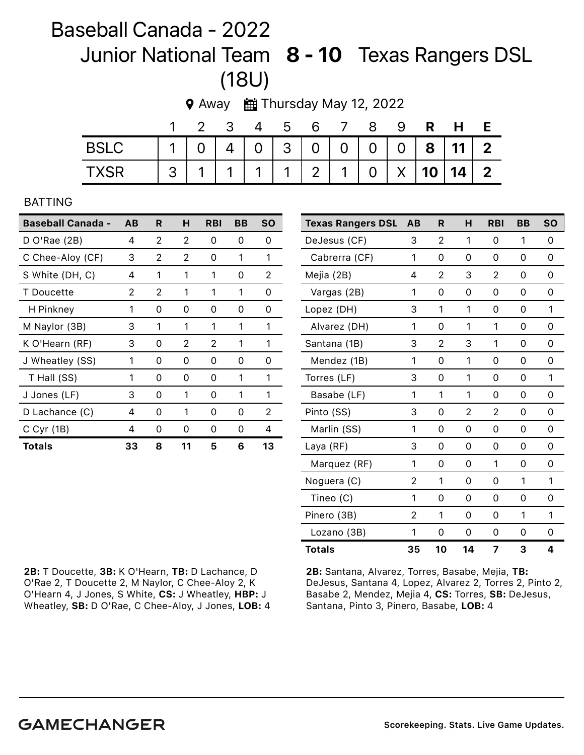## Baseball Canada - 2022 Junior National Team 8 - 10 Texas Rangers DSL (18U)

|             |  |  |  |  |  | 2 3 4 5 6 7 8 9 <b>R H E</b>                      |  |
|-------------|--|--|--|--|--|---------------------------------------------------|--|
| <b>BSLC</b> |  |  |  |  |  | $1   0   4   0   3   0   0   0   0   8   11   2$  |  |
| <b>TXSR</b> |  |  |  |  |  | $3   1   1   1   1   2   1   0   X   10   14   2$ |  |

**♦ Away ■ Thursday May 12, 2022** 

## BATTING

| <b>Baseball Canada -</b> | AB | R | н  | <b>RBI</b> | BВ | <b>SO</b> |
|--------------------------|----|---|----|------------|----|-----------|
| D O'Rae (2B)             | 4  | 2 | 2  | 0          | 0  | 0         |
| C Chee-Aloy (CF)         | 3  | 2 | 2  | 0          | 1  | 1         |
| S White (DH, C)          | 4  | 1 | 1  | 1          | 0  | 2         |
| T Doucette               | 2  | 2 | 1  | 1          | 1  | 0         |
| H Pinkney                | 1  | 0 | 0  | 0          | Ω  | 0         |
| M Naylor (3B)            | 3  | 1 | 1  | 1          | 1  | 1         |
| K O'Hearn (RF)           | 3  | 0 | 2  | 2          | 1  | 1         |
| J Wheatley (SS)          | 1  | 0 | Ω  | 0          | Ω  | 0         |
| T Hall (SS)              | 1  | 0 | 0  | 0          | 1  | 1         |
| J Jones (LF)             | 3  | 0 | 1  | 0          | 1  | 1         |
| D Lachance (C)           | 4  | 0 | 1  | 0          | 0  | 2         |
| $C$ Cyr (1B)             | 4  | 0 | 0  | 0          | 0  | 4         |
| Totals                   | 33 | 8 | 11 | 5          | 6  | 13        |

2B: T Doucette, 3B: K O'Hearn, TB: D Lachance, D O'Rae 2, T Doucette 2, M Naylor, C Chee-Aloy 2, K O'Hearn 4, J Jones, S White, CS: J Wheatley, HBP: J Wheatley, SB: D O'Rae, C Chee-Aloy, J Jones, LOB: 4

| <b>Texas Rangers DSL</b> | AB             | R              | н        | <b>RBI</b>     | <b>BB</b> | <b>SO</b> |
|--------------------------|----------------|----------------|----------|----------------|-----------|-----------|
| DeJesus (CF)             | 3              | 2              | 1        | 0              | 1         | 0         |
| Cabrerra (CF)            | 1              | 0              | 0        | 0              | 0         | 0         |
| Mejia (2B)               | 4              | $\overline{2}$ | 3        | $\overline{2}$ | 0         | 0         |
| Vargas (2B)              | 1              | 0              | $\Omega$ | 0              | $\Omega$  | 0         |
| Lopez (DH)               | 3              | 1              | 1        | 0              | 0         | 1         |
| Alvarez (DH)             | 1              | 0              | 1        | 1              | $\Omega$  | 0         |
| Santana (1B)             | 3              | $\overline{2}$ | 3        | 1              | 0         | 0         |
| Mendez (1B)              | 1              | 0              | 1        | $\Omega$       | $\Omega$  | 0         |
| Torres (LF)              | 3              | 0              | 1        | 0              | 0         | 1         |
| Basabe (LF)              | 1              | 1              | 1        | 0              | 0         | 0         |
| Pinto (SS)               | 3              | 0              | 2        | 2              | 0         | $\Omega$  |
| Marlin (SS)              | 1              | 0              | 0        | 0              | 0         | $\Omega$  |
| Laya (RF)                | З              | 0              | $\Omega$ | 0              | $\Omega$  | 0         |
| Marquez (RF)             | 1              | 0              | 0        | 1              | 0         | 0         |
| Noguera (C)              | 2              | 1              | $\Omega$ | 0              | 1         | 1         |
| Tineo (C)                | 1              | 0              | 0        | 0              | 0         | 0         |
| Pinero (3B)              | $\overline{2}$ | 1              | 0        | $\Omega$       | 1         | 1         |
| Lozano (3B)              | 1              | 0              | 0        | 0              | 0         | 0         |
| <b>Totals</b>            | 35             | 10             | 14       | 7              | 3         | 4         |

2B: Santana, Alvarez, Torres, Basabe, Mejia, TB: DeJesus, Santana 4, Lopez, Alvarez 2, Torres 2, Pinto 2, Basabe 2, Mendez, Mejia 4, CS: Torres, SB: DeJesus, Santana, Pinto 3, Pinero, Basabe, LOB: 4